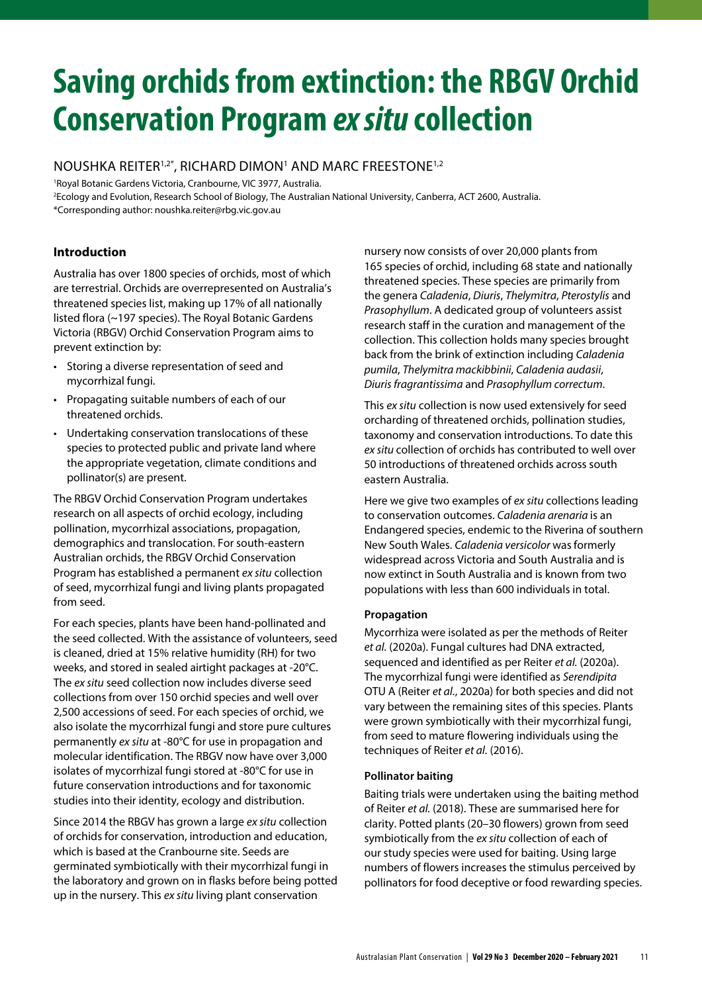# **Saving orchids from extinction: the RBGV Orchid Conservation Program ex situ collection**

# NOUSHKA REITER1,2\*, RICHARD DIMON<sup>1</sup> AND MARC FREESTONE1,2

<sup>1</sup>Royal Botanic Gardens Victoria, Cranbourne, VIC 3977, Australia. <sup>2</sup>Ecology and Evolution, Research School of Biology, The Australian National University, Canberra, ACT 2600, Australia. \*Corresponding author: noushka.reiter@rbg.vic.gov.au

# **Introduction**

Australia has over 1800 species of orchids, most of which are terrestrial. Orchids are overrepresented on Australia's threatened species list, making up 17% of all nationally listed flora (~197 species). The Royal Botanic Gardens Victoria (RBGV) Orchid Conservation Program aims to prevent extinction by:

- Storing a diverse representation of seed and mycorrhizal fungi.
- Propagating suitable numbers of each of our threatened orchids.
- Undertaking conservation translocations of these species to protected public and private land where the appropriate vegetation, climate conditions and pollinator(s) are present.

The RBGV Orchid Conservation Program undertakes research on all aspects of orchid ecology, including pollination, mycorrhizal associations, propagation, demographics and translocation. For south-eastern Australian orchids, the RBGV Orchid Conservation Program has established a permanent ex situ collection of seed, mycorrhizal fungi and living plants propagated from seed.

For each species, plants have been hand‑pollinated and the seed collected. With the assistance of volunteers, seed is cleaned, dried at 15% relative humidity (RH) for two weeks, and stored in sealed airtight packages at ‑20°C. The ex situ seed collection now includes diverse seed collections from over 150 orchid species and well over 2,500 accessions of seed. For each species of orchid, we also isolate the mycorrhizal fungi and store pure cultures permanently ex situ at -80℃ for use in propagation and molecular identification. The RBGV now have over 3,000 isolates of mycorrhizal fungi stored at ‑80°C for use in future conservation introductions and for taxonomic studies into their identity, ecology and distribution.

Since 2014 the RBGV has grown a large ex situ collection of orchids for conservation, introduction and education, which is based at the Cranbourne site. Seeds are germinated symbiotically with their mycorrhizal fungi in the laboratory and grown on in flasks before being potted up in the nursery. This ex situ living plant conservation

nursery now consists of over 20,000 plants from 165 species of orchid, including 68 state and nationally threatened species. These species are primarily from the genera Caladenia, Diuris, Thelymitra, Pterostylis and Prasophyllum. A dedicated group of volunteers assist research staff in the curation and management of the collection. This collection holds many species brought back from the brink of extinction including Caladenia pumila, Thelymitra mackibbinii, Caladenia audasii, Diuris fragrantissima and Prasophyllum correctum.

This ex situ collection is now used extensively for seed orcharding of threatened orchids, pollination studies, taxonomy and conservation introductions. To date this ex situ collection of orchids has contributed to well over 50 introductions of threatened orchids across south eastern Australia.

Here we give two examples of ex situ collections leading to conservation outcomes. Caladenia arenaria is an Endangered species, endemic to the Riverina of southern New South Wales. Caladenia versicolor was formerly widespread across Victoria and South Australia and is now extinct in South Australia and is known from two populations with less than 600 individuals in total.

# **Propagation**

Mycorrhiza were isolated as per the methods of Reiter et al. (2020a). Fungal cultures had DNA extracted, sequenced and identified as per Reiter et al. (2020a). The mycorrhizal fungi were identified as Serendipita OTU A (Reiter et al., 2020a) for both species and did not vary between the remaining sites of this species. Plants were grown symbiotically with their mycorrhizal fungi, from seed to mature flowering individuals using the techniques of Reiter et al. (2016).

# **Pollinator baiting**

Baiting trials were undertaken using the baiting method of Reiter et al. (2018). These are summarised here for clarity. Potted plants (20–30 flowers) grown from seed symbiotically from the ex situ collection of each of our study species were used for baiting. Using large numbers of flowers increases the stimulus perceived by pollinators for food deceptive or food rewarding species.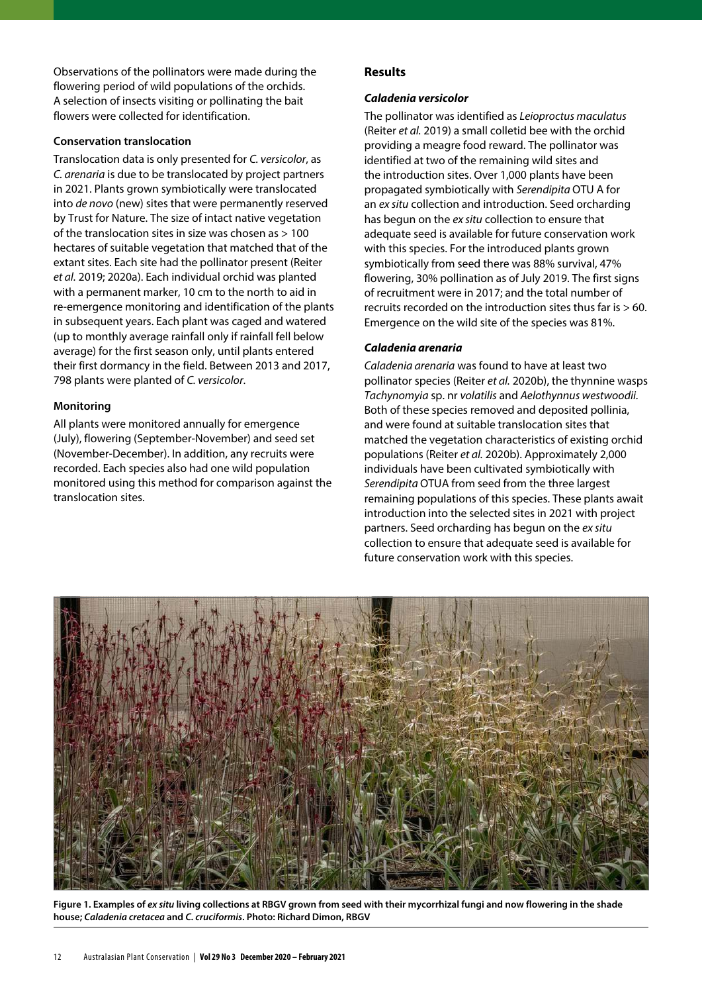Observations of the pollinators were made during the flowering period of wild populations of the orchids. A selection of insects visiting or pollinating the bait flowers were collected for identification.

#### **Conservation translocation**

Translocation data is only presented for C. versicolor, as C. arenaria is due to be translocated by project partners in 2021. Plants grown symbiotically were translocated into de novo (new) sites that were permanently reserved by Trust for Nature. The size of intact native vegetation of the translocation sites in size was chosen as > 100 hectares of suitable vegetation that matched that of the extant sites. Each site had the pollinator present (Reiter et al. 2019; 2020a). Each individual orchid was planted with a permanent marker, 10 cm to the north to aid in re‑emergence monitoring and identification of the plants in subsequent years. Each plant was caged and watered (up to monthly average rainfall only if rainfall fell below average) for the first season only, until plants entered their first dormancy in the field. Between 2013 and 2017, 798 plants were planted of C. versicolor.

#### **Monitoring**

All plants were monitored annually for emergence (July), flowering (September‑November) and seed set (November‑December). In addition, any recruits were recorded. Each species also had one wild population monitored using this method for comparison against the translocation sites.

# **Results**

#### **Caladenia versicolor**

The pollinator was identified as Leioproctus maculatus (Reiter et al. 2019) a small colletid bee with the orchid providing a meagre food reward. The pollinator was identified at two of the remaining wild sites and the introduction sites. Over 1,000 plants have been propagated symbiotically with Serendipita OTU A for an ex situ collection and introduction. Seed orcharding has begun on the ex situ collection to ensure that adequate seed is available for future conservation work with this species. For the introduced plants grown symbiotically from seed there was 88% survival, 47% flowering, 30% pollination as of July 2019. The first signs of recruitment were in 2017; and the total number of recruits recorded on the introduction sites thus far is > 60. Emergence on the wild site of the species was 81%.

#### **Caladenia arenaria**

Caladenia arenaria was found to have at least two pollinator species (Reiter et al. 2020b), the thynnine wasps Tachynomyia sp. nr volatilis and Aelothynnus westwoodii. Both of these species removed and deposited pollinia, and were found at suitable translocation sites that matched the vegetation characteristics of existing orchid populations (Reiter et al. 2020b). Approximately 2,000 individuals have been cultivated symbiotically with Serendipita OTUA from seed from the three largest remaining populations of this species. These plants await introduction into the selected sites in 2021 with project partners. Seed orcharding has begun on the ex situ collection to ensure that adequate seed is available for future conservation work with this species.



**Figure 1. Examples of ex situ living collections at RBGV grown from seed with their mycorrhizal fungi and now flowering in the shade house; Caladenia cretacea and C. cruciformis. Photo: Richard Dimon, RBGV**